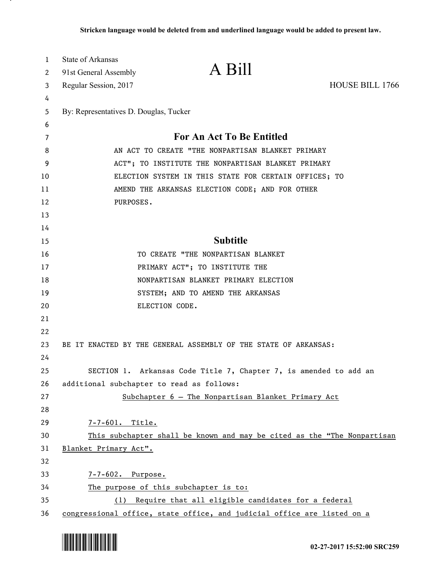| $\mathbf{1}$ | State of Arkansas                         |                                                                         |                 |
|--------------|-------------------------------------------|-------------------------------------------------------------------------|-----------------|
| 2            | 91st General Assembly                     | A Bill                                                                  |                 |
| 3            | Regular Session, 2017                     |                                                                         | HOUSE BILL 1766 |
| 4            |                                           |                                                                         |                 |
| 5            | By: Representatives D. Douglas, Tucker    |                                                                         |                 |
| 6            |                                           |                                                                         |                 |
| 7            |                                           | <b>For An Act To Be Entitled</b>                                        |                 |
| 8            |                                           | AN ACT TO CREATE "THE NONPARTISAN BLANKET PRIMARY                       |                 |
| 9            |                                           | ACT"; TO INSTITUTE THE NONPARTISAN BLANKET PRIMARY                      |                 |
| 10           |                                           | ELECTION SYSTEM IN THIS STATE FOR CERTAIN OFFICES; TO                   |                 |
| 11           |                                           | AMEND THE ARKANSAS ELECTION CODE; AND FOR OTHER                         |                 |
| 12           | PURPOSES.                                 |                                                                         |                 |
| 13           |                                           |                                                                         |                 |
| 14           |                                           |                                                                         |                 |
| 15           |                                           | <b>Subtitle</b>                                                         |                 |
| 16           |                                           | TO CREATE "THE NONPARTISAN BLANKET                                      |                 |
| 17           |                                           | PRIMARY ACT"; TO INSTITUTE THE                                          |                 |
| 18           |                                           | NONPARTISAN BLANKET PRIMARY ELECTION                                    |                 |
| 19           |                                           | SYSTEM; AND TO AMEND THE ARKANSAS                                       |                 |
| 20           |                                           | ELECTION CODE.                                                          |                 |
| 21           |                                           |                                                                         |                 |
| 22           |                                           |                                                                         |                 |
| 23           |                                           | BE IT ENACTED BY THE GENERAL ASSEMBLY OF THE STATE OF ARKANSAS:         |                 |
| 24           |                                           |                                                                         |                 |
| 25           |                                           | SECTION 1. Arkansas Code Title 7, Chapter 7, is amended to add an       |                 |
| 26           | additional subchapter to read as follows: |                                                                         |                 |
| 27           |                                           | Subchapter 6 - The Nonpartisan Blanket Primary Act                      |                 |
| 28           |                                           |                                                                         |                 |
| 29           | 7-7-601. Title.                           |                                                                         |                 |
| 30           |                                           | This subchapter shall be known and may be cited as the "The Nonpartisan |                 |
| 31           | Blanket Primary Act".                     |                                                                         |                 |
| 32           |                                           |                                                                         |                 |
| 33           | $7 - 7 - 602$ .<br>Purpose.               |                                                                         |                 |
| 34           |                                           | The purpose of this subchapter is to:                                   |                 |
| 35           | (1)                                       | Require that all eligible candidates for a federal                      |                 |
| 36           |                                           | congressional office, state office, and judicial office are listed on a |                 |



.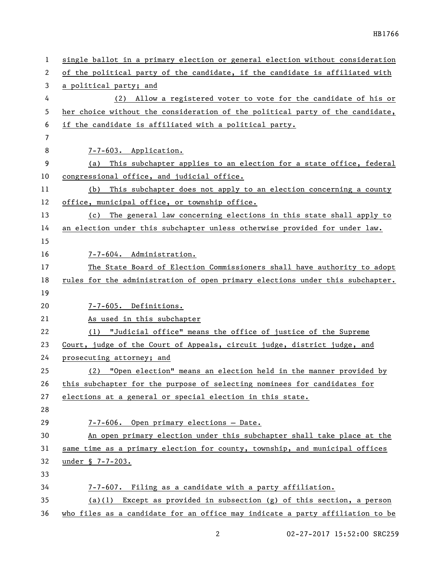| $\mathbf 1$ | single ballot in a primary election or general election without consideration |
|-------------|-------------------------------------------------------------------------------|
| 2           | of the political party of the candidate, if the candidate is affiliated with  |
| 3           | a political party; and                                                        |
| 4           | (2) Allow a registered voter to vote for the candidate of his or              |
| 5           | her choice without the consideration of the political party of the candidate, |
| 6           | if the candidate is affiliated with a political party.                        |
| 7           |                                                                               |
| 8           | 7-7-603. Application.                                                         |
| 9           | This subchapter applies to an election for a state office, federal<br>(a)     |
| 10          | congressional office, and judicial office.                                    |
| 11          | This subchapter does not apply to an election concerning a county<br>(b)      |
| 12          | office, municipal office, or township office.                                 |
| 13          | (c) The general law concerning elections in this state shall apply to         |
| 14          | an election under this subchapter unless otherwise provided for under law.    |
| 15          |                                                                               |
| 16          | 7-7-604. Administration.                                                      |
| 17          | The State Board of Election Commissioners shall have authority to adopt       |
| 18          | rules for the administration of open primary elections under this subchapter. |
| 19          |                                                                               |
| 20          | 7-7-605. Definitions.                                                         |
| 21          | As used in this subchapter                                                    |
| 22          | (1) "Judicial office" means the office of justice of the Supreme              |
| 23          | Court, judge of the Court of Appeals, circuit judge, district judge, and      |
| 24          | prosecuting attorney; and                                                     |
| 25          | (2) "Open election" means an election held in the manner provided by          |
| 26          | this subchapter for the purpose of selecting nominees for candidates for      |
| 27          | elections at a general or special election in this state.                     |
| 28          |                                                                               |
| 29          | 7-7-606. Open primary elections - Date.                                       |
| 30          | An open primary election under this subchapter shall take place at the        |
| 31          | same time as a primary election for county, township, and municipal offices   |
| 32          | under § 7-7-203.                                                              |
| 33          |                                                                               |
| 34          | 7-7-607. Filing as a candidate with a party affiliation.                      |
| 35          | $(a)(1)$ Except as provided in subsection $(g)$ of this section, a person     |
| 36          | who files as a candidate for an office may indicate a party affiliation to be |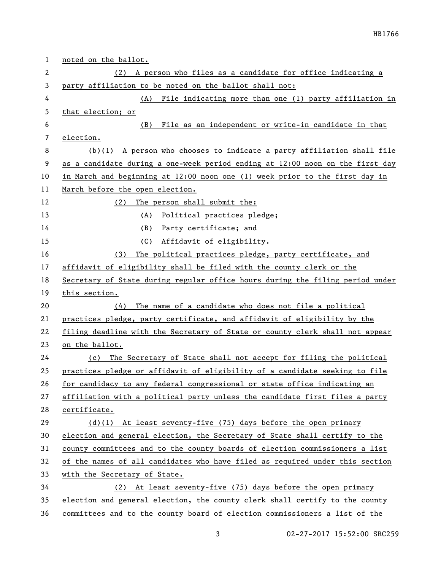| $\mathbf{1}$ | noted on the ballot.                                                          |
|--------------|-------------------------------------------------------------------------------|
| 2            | (2) A person who files as a candidate for office indicating a                 |
| 3            | party affiliation to be noted on the ballot shall not:                        |
| 4            | (A) File indicating more than one (1) party affiliation in                    |
| 5            | that election; or                                                             |
| 6            | (B)<br>File as an independent or write-in candidate in that                   |
| 7            | election.                                                                     |
| 8            | $(b)(1)$ A person who chooses to indicate a party affiliation shall file      |
| 9            | as a candidate during a one-week period ending at 12:00 noon on the first day |
| 10           | in March and beginning at 12:00 noon one (1) week prior to the first day in   |
| 11           | March before the open election.                                               |
| 12           | The person shall submit the:<br>(2)                                           |
| 13           | Political practices pledge;<br>(A)                                            |
| 14           | Party certificate; and<br>(B)                                                 |
| 15           | (C)<br>Affidavit of eligibility.                                              |
| 16           | The political practices pledge, party certificate, and<br>(3)                 |
| 17           | affidavit of eligibility shall be filed with the county clerk or the          |
| 18           | Secretary of State during regular office hours during the filing period under |
| 19           | this section.                                                                 |
| 20           | The name of a candidate who does not file a political<br>(4)                  |
| 21           | practices pledge, party certificate, and affidavit of eligibility by the      |
| 22           | filing deadline with the Secretary of State or county clerk shall not appear  |
| 23           | on the ballot.                                                                |
| 24           | (c) The Secretary of State shall not accept for filing the political          |
| 25           | practices pledge or affidavit of eligibility of a candidate seeking to file   |
| 26           | for candidacy to any federal congressional or state office indicating an      |
| 27           | affiliation with a political party unless the candidate first files a party   |
| 28           | certificate.                                                                  |
| 29           | $(d)(1)$ At least seventy-five (75) days before the open primary              |
| 30           | election and general election, the Secretary of State shall certify to the    |
| 31           | county committees and to the county boards of election commissioners a list   |
| 32           | of the names of all candidates who have filed as required under this section  |
| 33           | with the Secretary of State.                                                  |
| 34           | (2) At least seventy-five (75) days before the open primary                   |
| 35           | election and general election, the county clerk shall certify to the county   |
| 36           | committees and to the county board of election commissioners a list of the    |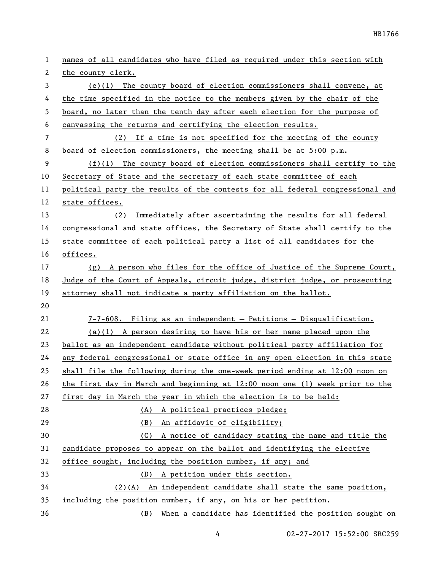| 1              | names of all candidates who have filed as required under this section with     |
|----------------|--------------------------------------------------------------------------------|
| 2              | the county clerk.                                                              |
| 3              | $(e)(1)$ The county board of election commissioners shall convene, at          |
| 4              | the time specified in the notice to the members given by the chair of the      |
| 5              | board, no later than the tenth day after each election for the purpose of      |
| 6              | canvassing the returns and certifying the election results.                    |
| $\overline{7}$ | (2) If a time is not specified for the meeting of the county                   |
| 8              | board of election commissioners, the meeting shall be at $5:00$ p.m.           |
| 9              | $(f)(1)$ The county board of election commissioners shall certify to the       |
| 10             | Secretary of State and the secretary of each state committee of each           |
| 11             | political party the results of the contests for all federal congressional and  |
| 12             | state offices.                                                                 |
| 13             | Immediately after ascertaining the results for all federal<br>(2)              |
| 14             | congressional and state offices, the Secretary of State shall certify to the   |
| 15             | state committee of each political party a list of all candidates for the       |
| 16             | offices.                                                                       |
| 17             | (g) A person who files for the office of Justice of the Supreme Court,         |
| 18             | Judge of the Court of Appeals, circuit judge, district judge, or prosecuting   |
| 19             | attorney shall not indicate a party affiliation on the ballot.                 |
| 20             |                                                                                |
| 21             | 7-7-608. Filing as an independent - Petitions - Disqualification.              |
| 22             | $(a)(1)$ A person desiring to have his or her name placed upon the             |
| 23             | ballot as an independent candidate without political party affiliation for     |
| 24             | any federal congressional or state office in any open election in this state   |
| 25             | shall file the following during the one-week period ending at 12:00 noon on    |
| 26             | the first day in March and beginning at $12:00$ noon one (1) week prior to the |
| 27             | first day in March the year in which the election is to be held:               |
| 28             | (A) A political practices pledge;                                              |
| 29             | An affidavit of eligibility;<br>(B)                                            |
| 30             | A notice of candidacy stating the name and title the<br>(C)                    |
| 31             | candidate proposes to appear on the ballot and identifying the elective        |
| 32             | office sought, including the position number, if any; and                      |
| 33             | A petition under this section.<br>(D)                                          |
| 34             | $(2)$ (A) An independent candidate shall state the same position,              |
| 35             | including the position number, if any, on his or her petition.                 |
| 36             | When a candidate has identified the position sought on<br>(B)                  |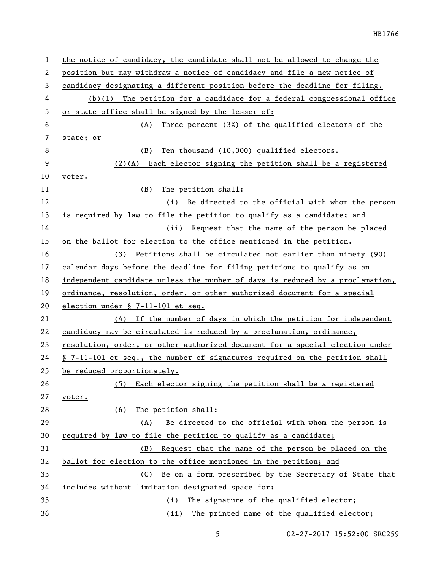| 1              | the notice of candidacy, the candidate shall not be allowed to change the     |
|----------------|-------------------------------------------------------------------------------|
| 2              | position but may withdraw a notice of candidacy and file a new notice of      |
| 3              | candidacy designating a different position before the deadline for filing.    |
| 4              | $(b)(1)$ The petition for a candidate for a federal congressional office      |
| 5              | or state office shall be signed by the lesser of:                             |
| 6              | Three percent (3%) of the qualified electors of the<br>(A)                    |
| $\overline{7}$ | state; or                                                                     |
| 8              | Ten thousand (10,000) qualified electors.<br>(B)                              |
| 9              | $(2)$ (A) Each elector signing the petition shall be a registered             |
| 10             | voter.                                                                        |
| 11             | (B)<br>The petition shall:                                                    |
| 12             | (i) Be directed to the official with whom the person                          |
| 13             | is required by law to file the petition to qualify as a candidate; and        |
| 14             | (ii) Request that the name of the person be placed                            |
| 15             | on the ballot for election to the office mentioned in the petition.           |
| 16             | (3) Petitions shall be circulated not earlier than ninety (90)                |
| 17             | calendar days before the deadline for filing petitions to qualify as an       |
| 18             | independent candidate unless the number of days is reduced by a proclamation, |
| 19             | ordinance, resolution, order, or other authorized document for a special      |
| 20             | election under § 7-11-101 et seq.                                             |
| 21             | $(4)$ If the number of days in which the petition for independent             |
| 22             | candidacy may be circulated is reduced by a proclamation, ordinance,          |
| 23             | resolution, order, or other authorized document for a special election under  |
| 24             | § 7-11-101 et seq., the number of signatures required on the petition shall   |
| 25             | be reduced proportionately.                                                   |
| 26             | Each elector signing the petition shall be a registered<br>(5)                |
| 27             | voter.                                                                        |
| 28             | The petition shall:<br>(6)                                                    |
| 29             | Be directed to the official with whom the person is<br>(A)                    |
| 30             | required by law to file the petition to qualify as a candidate;               |
| 31             | Request that the name of the person be placed on the<br>(B)                   |
| 32             | ballot for election to the office mentioned in the petition; and              |
| 33             | Be on a form prescribed by the Secretary of State that<br>(C)                 |
| 34             | includes without limitation designated space for:                             |
| 35             | The signature of the qualified elector;<br>(i)                                |
| 36             | (ii) The printed name of the qualified elector;                               |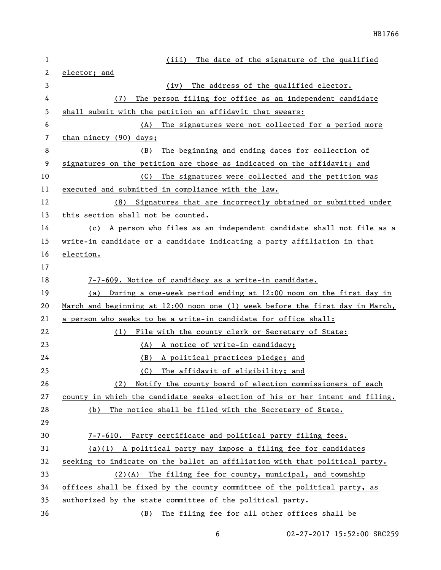| 1  | The date of the signature of the qualified<br>(iii)                           |
|----|-------------------------------------------------------------------------------|
| 2  | elector; and                                                                  |
| 3  | The address of the qualified elector.<br>(iv)                                 |
| 4  | The person filing for office as an independent candidate<br>(7)               |
| 5  | shall submit with the petition an affidavit that swears:                      |
| 6  | The signatures were not collected for a period more<br>(A)                    |
| 7  | than ninety (90) days;                                                        |
| 8  | The beginning and ending dates for collection of<br>(B)                       |
| 9  | signatures on the petition are those as indicated on the affidavit; and       |
| 10 | The signatures were collected and the petition was<br>(C)                     |
| 11 | executed and submitted in compliance with the law.                            |
| 12 | Signatures that are incorrectly obtained or submitted under<br>(8)            |
| 13 | this section shall not be counted.                                            |
| 14 | (c) A person who files as an independent candidate shall not file as a        |
| 15 | write-in candidate or a candidate indicating a party affiliation in that      |
| 16 | election.                                                                     |
| 17 |                                                                               |
| 18 | 7-7-609. Notice of candidacy as a write-in candidate.                         |
| 19 | (a) During a one-week period ending at 12:00 noon on the first day in         |
| 20 | March and beginning at 12:00 noon one (1) week before the first day in March, |
| 21 | a person who seeks to be a write-in candidate for office shall:               |
| 22 | File with the county clerk or Secretary of State:<br>(1)                      |
| 23 | (A) A notice of write-in candidacy;                                           |
| 24 | A political practices pledge; and<br>(B)                                      |
| 25 | (C)<br>The affidavit of eligibility; and                                      |
| 26 | (2) Notify the county board of election commissioners of each                 |
| 27 | county in which the candidate seeks election of his or her intent and filing. |
| 28 | The notice shall be filed with the Secretary of State.<br>(b)                 |
| 29 |                                                                               |
| 30 | 7-7-610. Party certificate and political party filing fees.                   |
| 31 | (a)(1) A political party may impose a filing fee for candidates               |
| 32 | seeking to indicate on the ballot an affiliation with that political party.   |
| 33 | $(2)(A)$ The filing fee for county, municipal, and township                   |
| 34 | offices shall be fixed by the county committee of the political party, as     |
| 35 | authorized by the state committee of the political party.                     |
| 36 | The filing fee for all other offices shall be<br>(B)                          |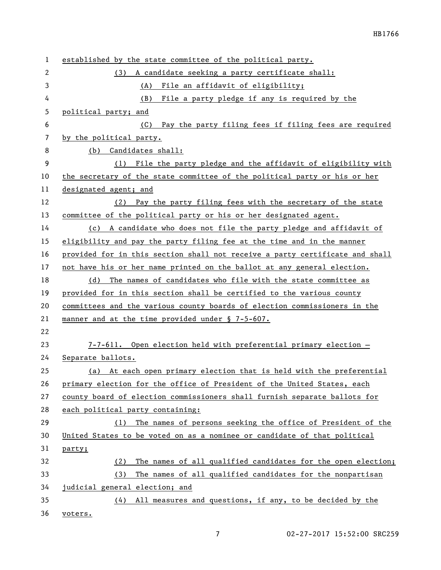| 1              | established by the state committee of the political party.                   |
|----------------|------------------------------------------------------------------------------|
| $\overline{2}$ | A candidate seeking a party certificate shall:<br>(3)                        |
| 3              | (A) File an affidavit of eligibility;                                        |
| 4              | File a party pledge if any is required by the<br>(B)                         |
| 5              | political party; and                                                         |
| 6              | (C) Pay the party filing fees if filing fees are required                    |
| 7              | by the political party.                                                      |
| 8              | (b) Candidates shall:                                                        |
| 9              | (1) File the party pledge and the affidavit of eligibility with              |
| 10             | the secretary of the state committee of the political party or his or her    |
| 11             | designated agent; and                                                        |
| 12             | (2) Pay the party filing fees with the secretary of the state                |
| 13             | committee of the political party or his or her designated agent.             |
| 14             | (c) A candidate who does not file the party pledge and affidavit of          |
| 15             | eligibility and pay the party filing fee at the time and in the manner       |
| 16             | provided for in this section shall not receive a party certificate and shall |
| 17             | not have his or her name printed on the ballot at any general election.      |
| 18             | The names of candidates who file with the state committee as<br>(d)          |
| 19             | provided for in this section shall be certified to the various county        |
| 20             | committees and the various county boards of election commissioners in the    |
| 21             | manner and at the time provided under § 7-5-607.                             |
| 22             |                                                                              |
| 23             | 7-7-611. Open election held with preferential primary election -             |
| 24             | Separate ballots.                                                            |
| 25             | (a) At each open primary election that is held with the preferential         |
| 26             | primary election for the office of President of the United States, each      |
| 27             | county board of election commissioners shall furnish separate ballots for    |
| 28             | each political party containing:                                             |
| 29             | The names of persons seeking the office of President of the<br>(1)           |
| 30             | United States to be voted on as a nominee or candidate of that political     |
| 31             | party;                                                                       |
| 32             | The names of all qualified candidates for the open election;<br>(2)          |
| 33             | The names of all qualified candidates for the nonpartisan<br>(3)             |
| 34             | judicial general election; and                                               |
| 35             | (4) All measures and questions, if any, to be decided by the                 |
| 36             | voters.                                                                      |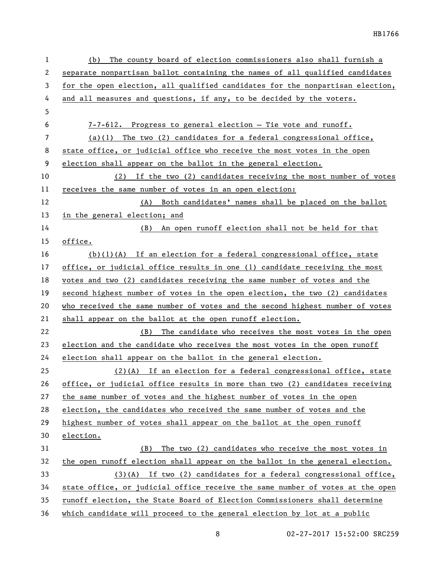| 1  | The county board of election commissioners also shall furnish a<br>(b)        |
|----|-------------------------------------------------------------------------------|
| 2  | separate nonpartisan ballot containing the names of all qualified candidates  |
| 3  | for the open election, all qualified candidates for the nonpartisan election, |
| 4  | and all measures and questions, if any, to be decided by the voters.          |
| 5  |                                                                               |
| 6  | $7-7-612$ . Progress to general election - Tie vote and runoff.               |
| 7  | $(a)(1)$ The two (2) candidates for a federal congressional office,           |
| 8  | state office, or judicial office who receive the most votes in the open       |
| 9  | election shall appear on the ballot in the general election.                  |
| 10 | (2) If the two (2) candidates receiving the most number of votes              |
| 11 | receives the same number of votes in an open election:                        |
| 12 | (A) Both candidates' names shall be placed on the ballot                      |
| 13 | in the general election; and                                                  |
| 14 | An open runoff election shall not be held for that<br>(B)                     |
| 15 | office.                                                                       |
| 16 | $(b)(1)(A)$ If an election for a federal congressional office, state          |
| 17 | office, or judicial office results in one (1) candidate receiving the most    |
| 18 | votes and two (2) candidates receiving the same number of votes and the       |
| 19 | second highest number of votes in the open election, the two (2) candidates   |
| 20 | who received the same number of votes and the second highest number of votes  |
| 21 | shall appear on the ballot at the open runoff election.                       |
| 22 | The candidate who receives the most votes in the open<br>(B)                  |
| 23 | election and the candidate who receives the most votes in the open runoff     |
| 24 | election shall appear on the ballot in the general election.                  |
| 25 | $(2)(A)$ If an election for a federal congressional office, state             |
| 26 | office, or judicial office results in more than two (2) candidates receiving  |
| 27 | the same number of votes and the highest number of votes in the open          |
| 28 | election, the candidates who received the same number of votes and the        |
| 29 | highest number of votes shall appear on the ballot at the open runoff         |
| 30 | election.                                                                     |
| 31 | The two (2) candidates who receive the most votes in<br>(B)                   |
| 32 | the open runoff election shall appear on the ballot in the general election.  |
| 33 | $(3)(A)$ If two (2) candidates for a federal congressional office,            |
| 34 | state office, or judicial office receive the same number of votes at the open |
| 35 | runoff election, the State Board of Election Commissioners shall determine    |
| 36 | which candidate will proceed to the general election by lot at a public       |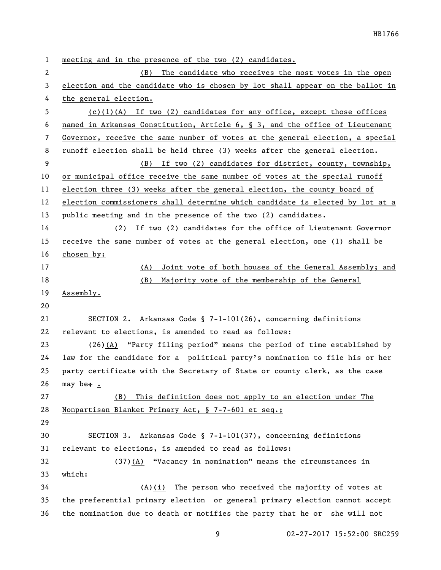meeting and in the presence of the two (2) candidates. (B) The candidate who receives the most votes in the open election and the candidate who is chosen by lot shall appear on the ballot in the general election. (c)(1)(A) If two (2) candidates for any office, except those offices named in Arkansas Constitution, Article 6, § 3, and the office of Lieutenant Governor, receive the same number of votes at the general election, a special runoff election shall be held three (3) weeks after the general election. (B) If two (2) candidates for district, county, township, or municipal office receive the same number of votes at the special runoff election three (3) weeks after the general election, the county board of election commissioners shall determine which candidate is elected by lot at a 13 public meeting and in the presence of the two (2) candidates. (2) If two (2) candidates for the office of Lieutenant Governor receive the same number of votes at the general election, one (1) shall be chosen by: (A) Joint vote of both houses of the General Assembly; and (B) Majority vote of the membership of the General Assembly. SECTION 2. Arkansas Code § 7-1-101(26), concerning definitions relevant to elections, is amended to read as follows: (26)(A) "Party filing period" means the period of time established by law for the candidate for a political party's nomination to file his or her party certificate with the Secretary of State or county clerk, as the case 26 may be $\div$ . (B) This definition does not apply to an election under The Nonpartisan Blanket Primary Act, § 7-7-601 et seq.; SECTION 3. Arkansas Code § 7-1-101(37), concerning definitions relevant to elections, is amended to read as follows: (37)(A) "Vacancy in nomination" means the circumstances in which:  $(A)(i)$  The person who received the majority of votes at the preferential primary election or general primary election cannot accept the nomination due to death or notifies the party that he or she will not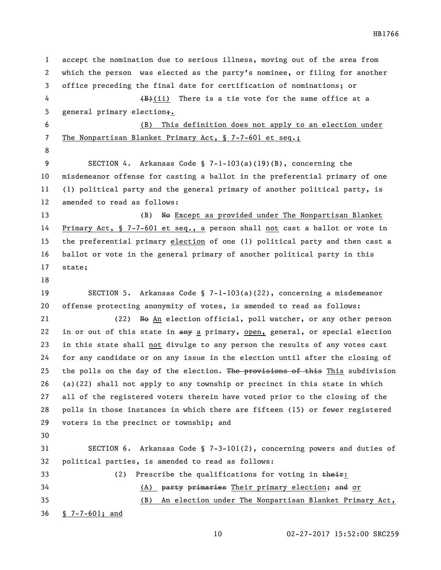accept the nomination due to serious illness, moving out of the area from which the person was elected as the party's nominee, or filing for another office preceding the final date for certification of nominations; or  $\left(\frac{B}{B}\right)(i)$  There is a tie vote for the same office at a 5 general primary election; (B) This definition does not apply to an election under 7 The Nonpartisan Blanket Primary Act, § 7-7-601 et seq.; SECTION 4. Arkansas Code § 7-1-103(a)(19)(B), concerning the misdemeanor offense for casting a ballot in the preferential primary of one (1) political party and the general primary of another political party, is amended to read as follows: 13 (B) No Except as provided under The Nonpartisan Blanket Primary Act, § 7-7-601 et seq., a person shall not cast a ballot or vote in the preferential primary election of one (1) political party and then cast a ballot or vote in the general primary of another political party in this state; SECTION 5. Arkansas Code § 7-1-103(a)(22), concerning a misdemeanor offense protecting anonymity of votes, is amended to read as follows: 21 (22) No An election official, poll watcher, or any other person 22 in or out of this state in  $\frac{amy}{ap}$  a primary, open, general, or special election in this state shall not divulge to any person the results of any votes cast for any candidate or on any issue in the election until after the closing of 25 the polls on the day of the election. The provisions of this This subdivision (a)(22) shall not apply to any township or precinct in this state in which all of the registered voters therein have voted prior to the closing of the polls in those instances in which there are fifteen (15) or fewer registered voters in the precinct or township; and SECTION 6. Arkansas Code § 7-3-101(2), concerning powers and duties of political parties, is amended to read as follows: 33 (2) Prescribe the qualifications for voting in their: (A) party primaries Their primary election; and or (B) An election under The Nonpartisan Blanket Primary Act,

§ 7-7-601; and

HB1766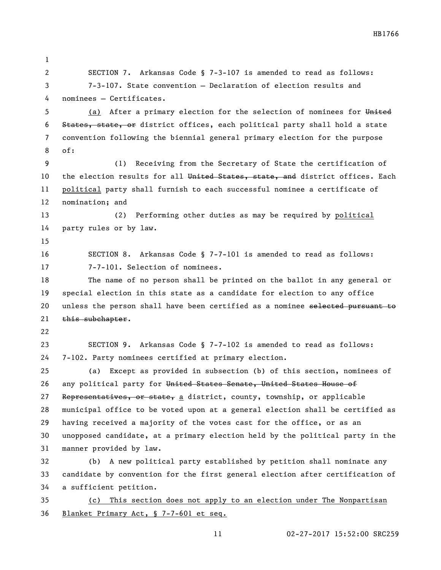SECTION 7. Arkansas Code § 7-3-107 is amended to read as follows: 7-3-107. State convention — Declaration of election results and nominees — Certificates. 5 (a) After a primary election for the selection of nominees for United States, state, or district offices, each political party shall hold a state convention following the biennial general primary election for the purpose of: (1) Receiving from the Secretary of State the certification of 10 the election results for all United States, state, and district offices. Each political party shall furnish to each successful nominee a certificate of nomination; and (2) Performing other duties as may be required by political party rules or by law. SECTION 8. Arkansas Code § 7-7-101 is amended to read as follows: 7-7-101. Selection of nominees. The name of no person shall be printed on the ballot in any general or special election in this state as a candidate for election to any office 20 unless the person shall have been certified as a nominee selected pursuant to 21 this subchapter. SECTION 9. Arkansas Code § 7-7-102 is amended to read as follows: 7-102. Party nominees certified at primary election. (a) Except as provided in subsection (b) of this section, nominees of any political party for United States Senate, United States House of 27 Representatives, or state, a district, county, township, or applicable municipal office to be voted upon at a general election shall be certified as having received a majority of the votes cast for the office, or as an unopposed candidate, at a primary election held by the political party in the manner provided by law. (b) A new political party established by petition shall nominate any candidate by convention for the first general election after certification of a sufficient petition. (c) This section does not apply to an election under The Nonpartisan

Blanket Primary Act, § 7-7-601 et seq.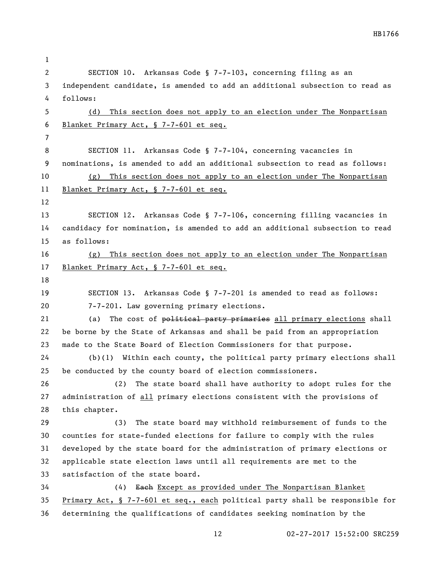| 1  |                                                                               |
|----|-------------------------------------------------------------------------------|
| 2  | SECTION 10. Arkansas Code § 7-7-103, concerning filing as an                  |
| 3  | independent candidate, is amended to add an additional subsection to read as  |
| 4  | follows:                                                                      |
| 5  | This section does not apply to an election under The Nonpartisan<br>(d)       |
| 6  | Blanket Primary Act, § 7-7-601 et seq.                                        |
| 7  |                                                                               |
| 8  | SECTION 11. Arkansas Code § 7-7-104, concerning vacancies in                  |
| 9  | nominations, is amended to add an additional subsection to read as follows:   |
| 10 | This section does not apply to an election under The Nonpartisan<br>(g)       |
| 11 | Blanket Primary Act, § 7-7-601 et seq.                                        |
| 12 |                                                                               |
| 13 | SECTION 12. Arkansas Code § 7-7-106, concerning filling vacancies in          |
| 14 | candidacy for nomination, is amended to add an additional subsection to read  |
| 15 | as follows:                                                                   |
| 16 | This section does not apply to an election under The Nonpartisan<br>(g)       |
| 17 | Blanket Primary Act, § 7-7-601 et seq.                                        |
| 18 |                                                                               |
| 19 | SECTION 13. Arkansas Code § 7-7-201 is amended to read as follows:            |
| 20 | 7-7-201. Law governing primary elections.                                     |
| 21 | The cost of political party primaries all primary elections shall<br>(a)      |
| 22 | be borne by the State of Arkansas and shall be paid from an appropriation     |
| 23 | made to the State Board of Election Commissioners for that purpose.           |
| 24 | $(b)(1)$ Within each county, the political party primary elections shall      |
| 25 | be conducted by the county board of election commissioners.                   |
| 26 | The state board shall have authority to adopt rules for the<br>(2)            |
| 27 | administration of all primary elections consistent with the provisions of     |
| 28 | this chapter.                                                                 |
| 29 | The state board may withhold reimbursement of funds to the<br>(3)             |
| 30 | counties for state-funded elections for failure to comply with the rules      |
| 31 | developed by the state board for the administration of primary elections or   |
| 32 | applicable state election laws until all requirements are met to the          |
| 33 | satisfaction of the state board.                                              |
| 34 | Each Except as provided under The Nonpartisan Blanket<br>(4)                  |
| 35 | Primary Act, § 7-7-601 et seq., each political party shall be responsible for |
| 36 | determining the qualifications of candidates seeking nomination by the        |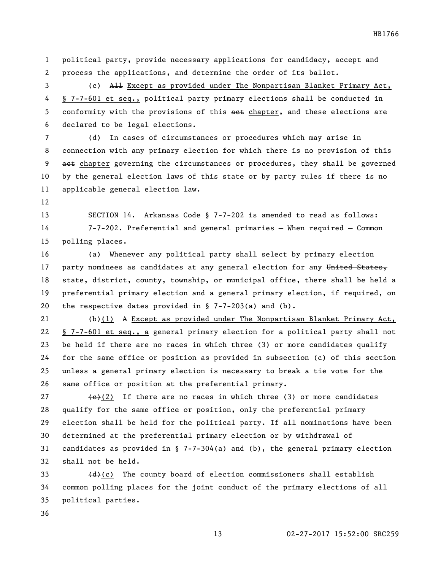HB1766

 political party, provide necessary applications for candidacy, accept and process the applications, and determine the order of its ballot.

 (c) All Except as provided under The Nonpartisan Blanket Primary Act, § 7-7-601 et seq., political party primary elections shall be conducted in 5 conformity with the provisions of this act chapter, and these elections are declared to be legal elections.

 (d) In cases of circumstances or procedures which may arise in connection with any primary election for which there is no provision of this 9 act chapter governing the circumstances or procedures, they shall be governed by the general election laws of this state or by party rules if there is no applicable general election law.

 SECTION 14. Arkansas Code § 7-7-202 is amended to read as follows: 7-7-202. Preferential and general primaries — When required — Common polling places.

 (a) Whenever any political party shall select by primary election 17 party nominees as candidates at any general election for any United States, 18 state, district, county, township, or municipal office, there shall be held a preferential primary election and a general primary election, if required, on the respective dates provided in § 7-7-203(a) and (b).

 (b)(1) A Except as provided under The Nonpartisan Blanket Primary Act, § 7-7-601 et seq., a general primary election for a political party shall not be held if there are no races in which three (3) or more candidates qualify for the same office or position as provided in subsection (c) of this section unless a general primary election is necessary to break a tie vote for the same office or position at the preferential primary.

 $\left\{\frac{e}{c}\right\}$  (2) If there are no races in which three (3) or more candidates qualify for the same office or position, only the preferential primary election shall be held for the political party. If all nominations have been determined at the preferential primary election or by withdrawal of candidates as provided in § 7-7-304(a) and (b), the general primary election shall not be held.

33  $(d)(c)$  The county board of election commissioners shall establish common polling places for the joint conduct of the primary elections of all political parties.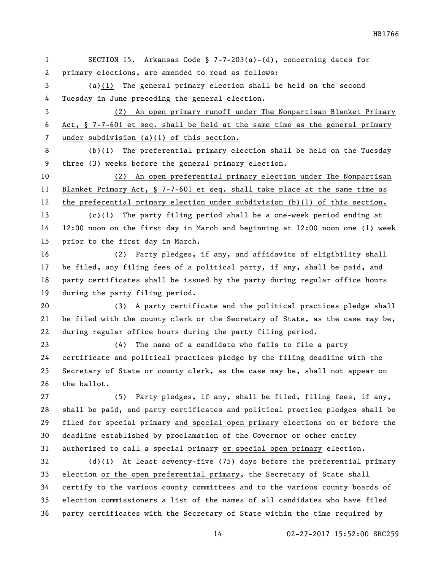SECTION 15. Arkansas Code § 7-7-203(a)-(d), concerning dates for primary elections, are amended to read as follows: (a)(1) The general primary election shall be held on the second Tuesday in June preceding the general election. (2) An open primary runoff under The Nonpartisan Blanket Primary Act, § 7-7-601 et seq. shall be held at the same time as the general primary under subdivision (a)(1) of this section. (b)(1) The preferential primary election shall be held on the Tuesday three (3) weeks before the general primary election. (2) An open preferential primary election under The Nonpartisan Blanket Primary Act, § 7-7-601 et seq. shall take place at the same time as the preferential primary election under subdivision (b)(1) of this section. (c)(1) The party filing period shall be a one-week period ending at 12:00 noon on the first day in March and beginning at 12:00 noon one (1) week prior to the first day in March. (2) Party pledges, if any, and affidavits of eligibility shall be filed, any filing fees of a political party, if any, shall be paid, and party certificates shall be issued by the party during regular office hours during the party filing period. (3) A party certificate and the political practices pledge shall be filed with the county clerk or the Secretary of State, as the case may be, during regular office hours during the party filing period. (4) The name of a candidate who fails to file a party certificate and political practices pledge by the filing deadline with the Secretary of State or county clerk, as the case may be, shall not appear on the ballot. (5) Party pledges, if any, shall be filed, filing fees, if any, shall be paid, and party certificates and political practice pledges shall be filed for special primary and special open primary elections on or before the deadline established by proclamation of the Governor or other entity authorized to call a special primary or special open primary election. (d)(1) At least seventy-five (75) days before the preferential primary election or the open preferential primary, the Secretary of State shall certify to the various county committees and to the various county boards of election commissioners a list of the names of all candidates who have filed

party certificates with the Secretary of State within the time required by

HB1766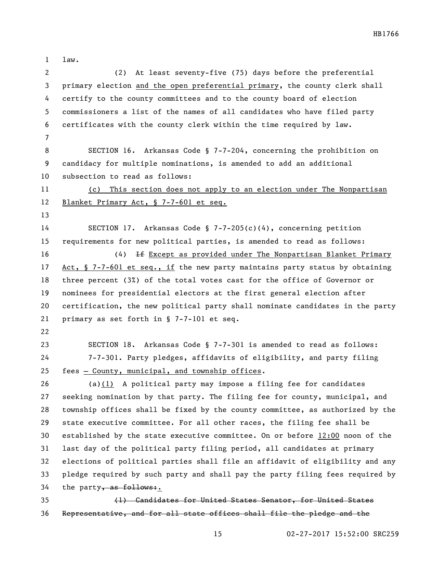law.

 (2) At least seventy-five (75) days before the preferential primary election and the open preferential primary, the county clerk shall certify to the county committees and to the county board of election commissioners a list of the names of all candidates who have filed party certificates with the county clerk within the time required by law. SECTION 16. Arkansas Code § 7-7-204, concerning the prohibition on candidacy for multiple nominations, is amended to add an additional subsection to read as follows: (c) This section does not apply to an election under The Nonpartisan Blanket Primary Act, § 7-7-601 et seq. SECTION 17. Arkansas Code § 7-7-205(c)(4), concerning petition requirements for new political parties, is amended to read as follows: (4) If Except as provided under The Nonpartisan Blanket Primary Act, § 7-7-601 et seq., if the new party maintains party status by obtaining three percent (3%) of the total votes cast for the office of Governor or nominees for presidential electors at the first general election after certification, the new political party shall nominate candidates in the party primary as set forth in § 7-7-101 et seq. SECTION 18. Arkansas Code § 7-7-301 is amended to read as follows: 7-7-301. Party pledges, affidavits of eligibility, and party filing fees — County, municipal, and township offices. (a)(1) A political party may impose a filing fee for candidates seeking nomination by that party. The filing fee for county, municipal, and township offices shall be fixed by the county committee, as authorized by the state executive committee. For all other races, the filing fee shall be established by the state executive committee. On or before 12:00 noon of the last day of the political party filing period, all candidates at primary elections of political parties shall file an affidavit of eligibility and any pledge required by such party and shall pay the party filing fees required by 34 the party, as follows:. (1) Candidates for United States Senator, for United States Representative, and for all state offices shall file the pledge and the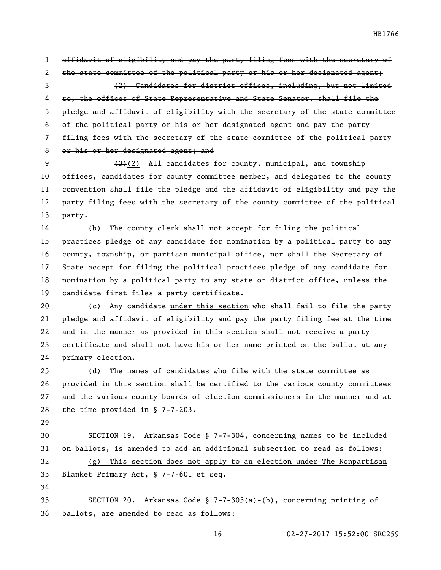affidavit of eligibility and pay the party filing fees with the secretary of 2 the state committee of the political party or his or her designated agent; (2) Candidates for district offices, including, but not limited to, the offices of State Representative and State Senator, shall file the pledge and affidavit of eligibility with the secretary of the state committee of the political party or his or her designated agent and pay the party filing fees with the secretary of the state committee of the political party 8 or his or her designated agent; and

 $(3)(2)$  All candidates for county, municipal, and township offices, candidates for county committee member, and delegates to the county convention shall file the pledge and the affidavit of eligibility and pay the party filing fees with the secretary of the county committee of the political party.

 (b) The county clerk shall not accept for filing the political practices pledge of any candidate for nomination by a political party to any 16 county, township, or partisan municipal office, nor shall the Secretary of State accept for filing the political practices pledge of any candidate for 18 nomination by a political party to any state or district office, unless the candidate first files a party certificate.

20 (c) Any candidate under this section who shall fail to file the party pledge and affidavit of eligibility and pay the party filing fee at the time and in the manner as provided in this section shall not receive a party certificate and shall not have his or her name printed on the ballot at any primary election.

 (d) The names of candidates who file with the state committee as provided in this section shall be certified to the various county committees and the various county boards of election commissioners in the manner and at the time provided in § 7-7-203.

 SECTION 19. Arkansas Code § 7-7-304, concerning names to be included on ballots, is amended to add an additional subsection to read as follows: (g) This section does not apply to an election under The Nonpartisan Blanket Primary Act, § 7-7-601 et seq.

 SECTION 20. Arkansas Code § 7-7-305(a)-(b), concerning printing of ballots, are amended to read as follows: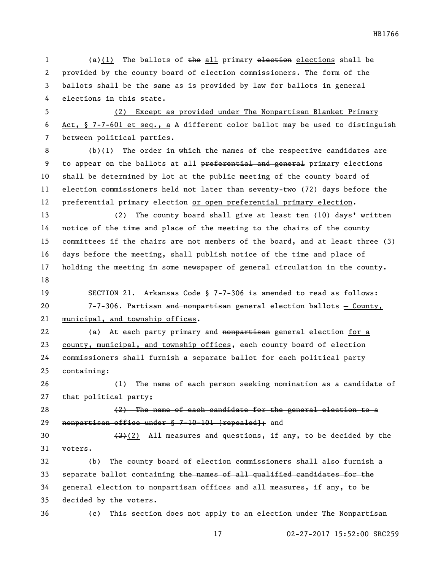(a)(1) The ballots of the all primary elections elections shall be provided by the county board of election commissioners. The form of the ballots shall be the same as is provided by law for ballots in general elections in this state.

 (2) Except as provided under The Nonpartisan Blanket Primary Act, § 7-7-601 et seq., a A different color ballot may be used to distinguish between political parties.

 (b)(1) The order in which the names of the respective candidates are 9 to appear on the ballots at all preferential and general primary elections shall be determined by lot at the public meeting of the county board of election commissioners held not later than seventy-two (72) days before the 12 preferential primary election or open preferential primary election.

 (2) The county board shall give at least ten (10) days' written notice of the time and place of the meeting to the chairs of the county committees if the chairs are not members of the board, and at least three (3) days before the meeting, shall publish notice of the time and place of holding the meeting in some newspaper of general circulation in the county. 

 SECTION 21. Arkansas Code § 7-7-306 is amended to read as follows: 7-7-306. Partisan and nonpartisan general election ballots — County, municipal, and township offices.

22 (a) At each party primary and nonpartisan general election for a 23 county, municipal, and township offices, each county board of election commissioners shall furnish a separate ballot for each political party containing:

 (1) The name of each person seeking nomination as a candidate of that political party;

 $(2)$  The name of each candidate for the general election to a nonpartisan office under § 7-10-101 [repealed]; and

30  $(3)(2)$  All measures and questions, if any, to be decided by the voters.

 (b) The county board of election commissioners shall also furnish a 33 separate ballot containing the names of all qualified candidates for the general election to nonpartisan offices and all measures, if any, to be decided by the voters.

(c) This section does not apply to an election under The Nonpartisan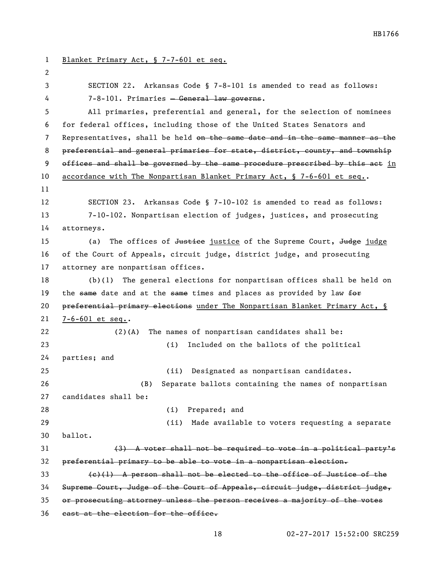Blanket Primary Act, § 7-7-601 et seq. SECTION 22. Arkansas Code § 7-8-101 is amended to read as follows: 7-8-101. Primaries — General law governs. All primaries, preferential and general, for the selection of nominees for federal offices, including those of the United States Senators and 7 Representatives, shall be held on the same date and in the same manner as the preferential and general primaries for state, district, county, and township offices and shall be governed by the same procedure prescribed by this act in 10 accordance with The Nonpartisan Blanket Primary Act, § 7-6-601 et seq.. SECTION 23. Arkansas Code § 7-10-102 is amended to read as follows: 7-10-102. Nonpartisan election of judges, justices, and prosecuting attorneys. 15 (a) The offices of <del>Justice</del> justice of the Supreme Court, Judge judge of the Court of Appeals, circuit judge, district judge, and prosecuting attorney are nonpartisan offices. (b)(1) The general elections for nonpartisan offices shall be held on 19 the same date and at the same times and places as provided by law  $f^{\text{def}}$ 20 preferential primary elections under The Nonpartisan Blanket Primary Act, § 7-6-601 et seq.. (2)(A) The names of nonpartisan candidates shall be: (i) Included on the ballots of the political parties; and (ii) Designated as nonpartisan candidates. (B) Separate ballots containing the names of nonpartisan candidates shall be: (i) Prepared; and (ii) Made available to voters requesting a separate ballot. (3) A voter shall not be required to vote in a political party's preferential primary to be able to vote in a nonpartisan election.  $\left\{\frac{e}{1}\right\}$  A person shall not be elected to the office of Justice of the Supreme Court, Judge of the Court of Appeals, circuit judge, district judge, or prosecuting attorney unless the person receives a majority of the votes 36 cast at the election for the office.